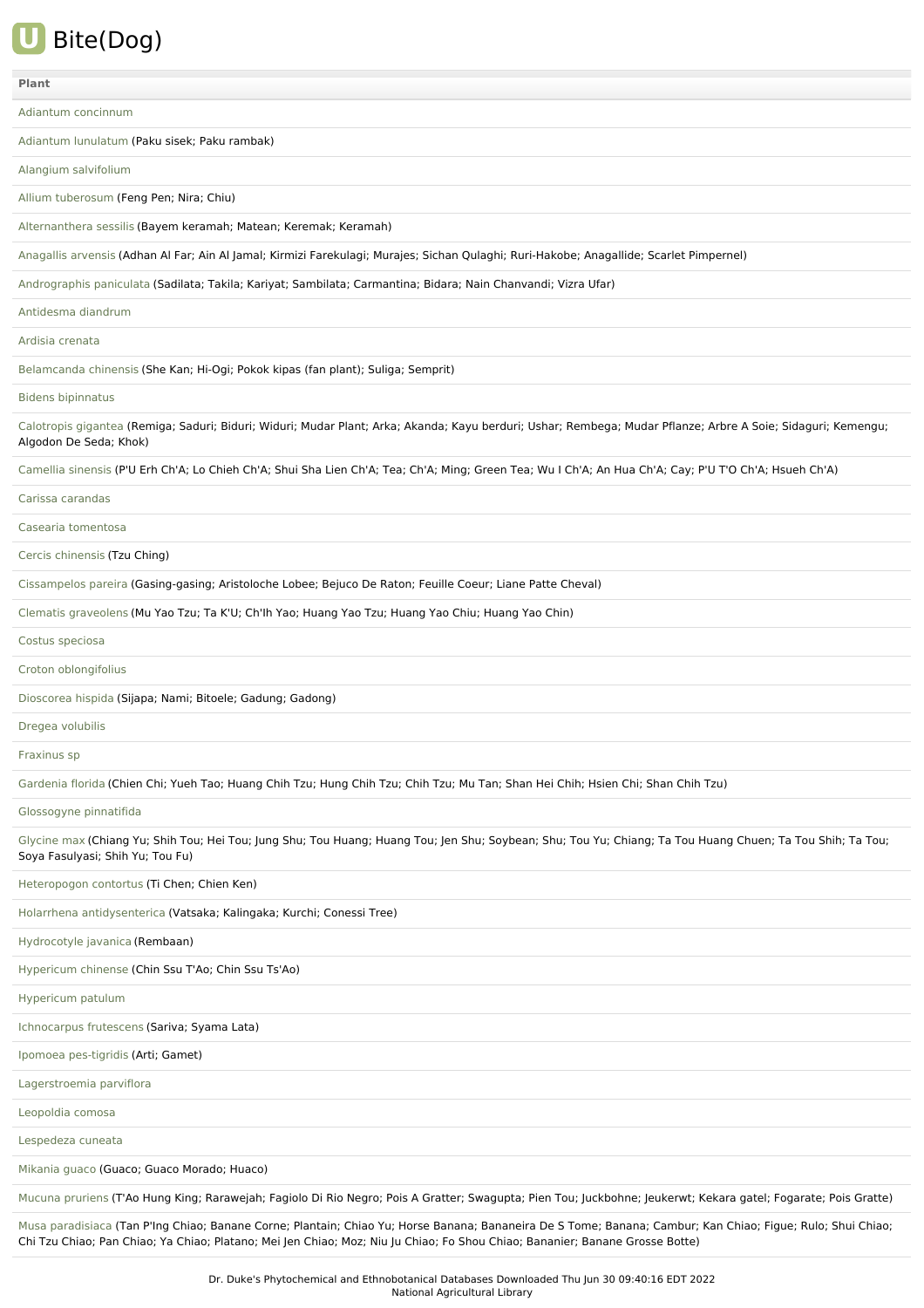

| Plant                                                                                                                                                                                          |
|------------------------------------------------------------------------------------------------------------------------------------------------------------------------------------------------|
| Adiantum concinnum                                                                                                                                                                             |
| Adiantum lunulatum (Paku sisek; Paku rambak)                                                                                                                                                   |
| Alangium salvifolium                                                                                                                                                                           |
| Allium tuberosum (Feng Pen; Nira; Chiu)                                                                                                                                                        |
| Alternanthera sessilis (Bayem keramah; Matean; Keremak; Keramah)                                                                                                                               |
| Anagallis arvensis (Adhan Al Far; Ain Al Jamal; Kirmizi Farekulagi; Murajes; Sichan Qulaghi; Ruri-Hakobe; Anagallide; Scarlet Pimpernel)                                                       |
| Andrographis paniculata (Sadilata; Takila; Kariyat; Sambilata; Carmantina; Bidara; Nain Chanvandi; Vizra Ufar)                                                                                 |
| Antidesma diandrum                                                                                                                                                                             |
| Ardisia crenata                                                                                                                                                                                |
| Belamcanda chinensis (She Kan; Hi-Ogi; Pokok kipas (fan plant); Suliga; Semprit)                                                                                                               |
| <b>Bidens bipinnatus</b>                                                                                                                                                                       |
| Calotropis gigantea (Remiga; Saduri; Biduri; Widuri; Mudar Plant; Arka; Akanda; Kayu berduri; Ushar; Rembega; Mudar Pflanze; Arbre A Soie; Sidaguri; Kemengu;<br>Algodon De Seda; Khok)        |
| Camellia sinensis (P'U Erh Ch'A; Lo Chieh Ch'A; Shui Sha Lien Ch'A; Tea; Ch'A; Ming; Green Tea; Wu I Ch'A; An Hua Ch'A; Cay; P'U T'O Ch'A; Hsueh Ch'A)                                         |
| Carissa carandas                                                                                                                                                                               |
| Casearia tomentosa                                                                                                                                                                             |
| Cercis chinensis (Tzu Ching)                                                                                                                                                                   |
| Cissampelos pareira (Gasing-gasing; Aristoloche Lobee; Bejuco De Raton; Feuille Coeur; Liane Patte Cheval)                                                                                     |
| Clematis graveolens (Mu Yao Tzu; Ta K'U; Ch'lh Yao; Huang Yao Tzu; Huang Yao Chiu; Huang Yao Chin)                                                                                             |
| Costus speciosa                                                                                                                                                                                |
| Croton oblongifolius                                                                                                                                                                           |
| Dioscorea hispida (Sijapa; Nami; Bitoele; Gadung; Gadong)                                                                                                                                      |
| Dregea volubilis                                                                                                                                                                               |
| Fraxinus sp                                                                                                                                                                                    |
| Gardenia florida (Chien Chi; Yueh Tao; Huang Chih Tzu; Hung Chih Tzu; Chih Tzu; Mu Tan; Shan Hei Chih; Hsien Chi; Shan Chih Tzu)                                                               |
| Glossogyne pinnatifida                                                                                                                                                                         |
| Glycine max (Chiang Yu; Shih Tou; Hei Tou; Jung Shu; Tou Huang; Huang Tou; Jen Shu; Soybean; Shu; Tou Yu; Chiang; Ta Tou Huang Chuen; Ta Tou Shih; Ta Tou;<br>Soya Fasulyasi; Shih Yu; Tou Fu) |
| Heteropogon contortus (Ti Chen; Chien Ken)                                                                                                                                                     |
| Holarrhena antidysenterica (Vatsaka; Kalingaka; Kurchi; Conessi Tree)                                                                                                                          |
| Hydrocotyle javanica (Rembaan)                                                                                                                                                                 |
| Hypericum chinense (Chin Ssu T'Ao; Chin Ssu Ts'Ao)                                                                                                                                             |
| Hypericum patulum                                                                                                                                                                              |
| Ichnocarpus frutescens (Sariva; Syama Lata)                                                                                                                                                    |
| Ipomoea pes-tigridis (Arti; Gamet)                                                                                                                                                             |
| Lagerstroemia parviflora                                                                                                                                                                       |
| Leopoldia comosa                                                                                                                                                                               |
| Lespedeza cuneata                                                                                                                                                                              |
| Mikania guaco (Guaco; Guaco Morado; Huaco)                                                                                                                                                     |
| Mucuna pruriens (T'Ao Hung King; Rarawejah; Fagiolo Di Rio Negro; Pois A Gratter; Swagupta; Pien Tou; Juckbohne; Jeukerwt; Kekara gatel; Fogarate; Pois Gratte)                                |

Musa [paradisiaca](file:///phytochem/ethnoPlants/show/352) (Tan P'Ing Chiao; Banane Corne; Plantain; Chiao Yu; Horse Banana; Bananeira De S Tome; Banana; Cambur; Kan Chiao; Figue; Rulo; Shui Chiao; Chi Tzu Chiao; Pan Chiao; Ya Chiao; Platano; Mei Jen Chiao; Moz; Niu Ju Chiao; Fo Shou Chiao; Bananier; Banane Grosse Botte)